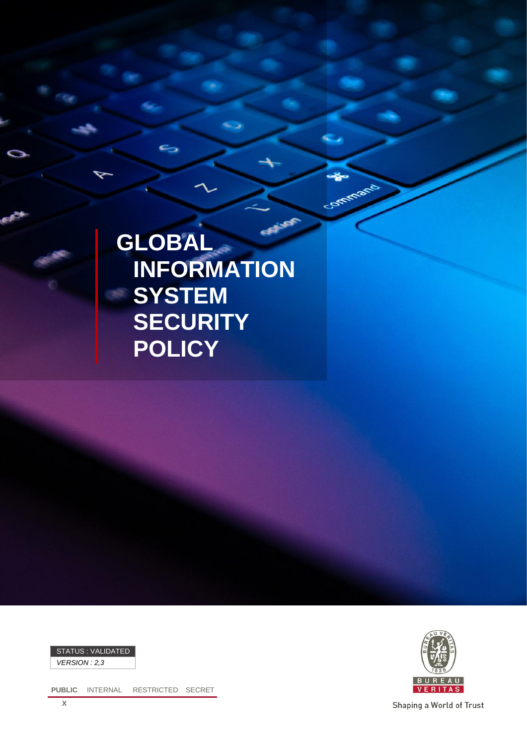

Commercial



*VERSION : 2,3*

**PUBLIC** INTERNAL RESTRICTED SECRET



Shaping a World of Trust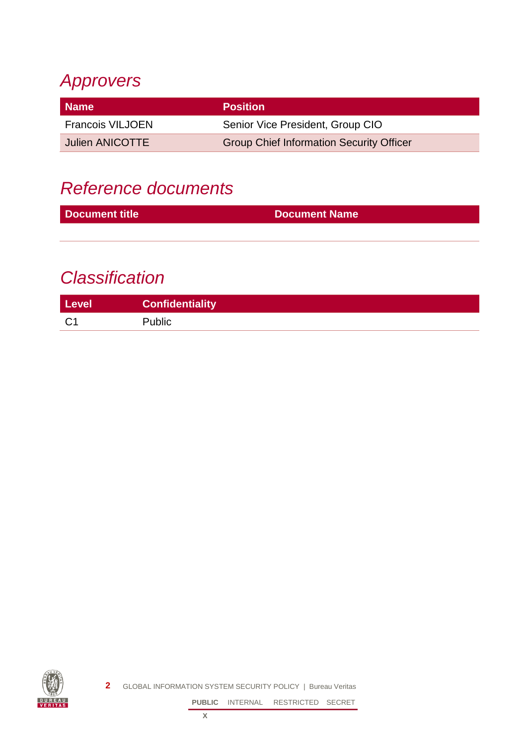## *Approvers*

| Name                    | <b>Position</b>                                 |
|-------------------------|-------------------------------------------------|
| <b>Francois VILJOEN</b> | Senior Vice President, Group CIO                |
| <b>Julien ANICOTTE</b>  | <b>Group Chief Information Security Officer</b> |

## *Reference documents*

| <b>Document title</b> | <b>Document Name</b> |
|-----------------------|----------------------|
|                       |                      |

## *Classification*

| Level  | <b>Confidentiality</b> |
|--------|------------------------|
| $\sim$ | Public                 |

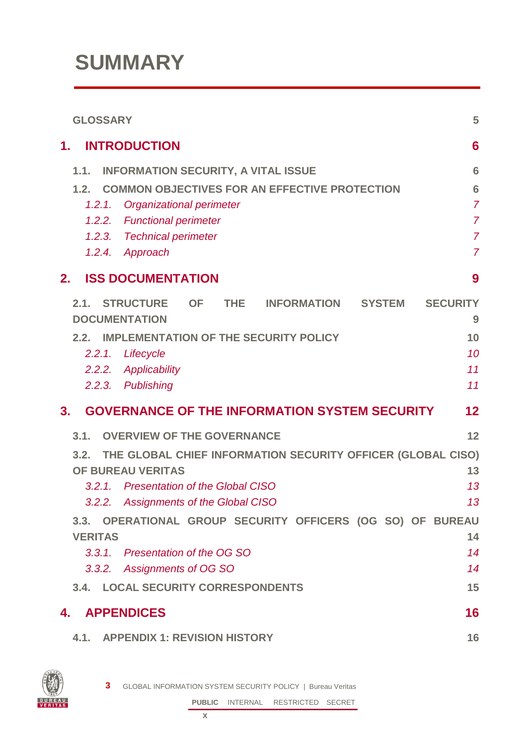# **SUMMARY**

| <b>GLOSSARY</b>                                                                                                                                                                                                                                                                                                                                                                                                                       | 5                                                                                            |
|---------------------------------------------------------------------------------------------------------------------------------------------------------------------------------------------------------------------------------------------------------------------------------------------------------------------------------------------------------------------------------------------------------------------------------------|----------------------------------------------------------------------------------------------|
| <b>INTRODUCTION</b><br>1.                                                                                                                                                                                                                                                                                                                                                                                                             | 6                                                                                            |
| <b>INFORMATION SECURITY, A VITAL ISSUE</b><br>1.1.<br><b>COMMON OBJECTIVES FOR AN EFFECTIVE PROTECTION</b><br>1.2.<br>Organizational perimeter<br>1.2.1.<br><b>Functional perimeter</b><br>1.2.2.<br>1.2.3. Technical perimeter<br>1.2.4. Approach                                                                                                                                                                                    | 6<br>$6\phantom{1}6$<br>$\overline{7}$<br>$\overline{7}$<br>$\overline{7}$<br>$\overline{7}$ |
| <b>ISS DOCUMENTATION</b><br>2.                                                                                                                                                                                                                                                                                                                                                                                                        | 9                                                                                            |
| STRUCTURE OF<br>THE.<br>2.1.<br><b>INFORMATION</b><br><b>SYSTEM</b><br><b>DOCUMENTATION</b><br><b>IMPLEMENTATION OF THE SECURITY POLICY</b><br>2.2.<br>2.2.1.<br>Lifecycle<br>2.2.2. Applicability<br>2.2.3. Publishing                                                                                                                                                                                                               | <b>SECURITY</b><br>9<br>10<br>10<br>11<br>11                                                 |
| <b>GOVERNANCE OF THE INFORMATION SYSTEM SECURITY</b><br>3.                                                                                                                                                                                                                                                                                                                                                                            | $12 \ \mathsf{ }$                                                                            |
| <b>OVERVIEW OF THE GOVERNANCE</b><br>3.1.<br>THE GLOBAL CHIEF INFORMATION SECURITY OFFICER (GLOBAL CISO)<br>3.2.<br>OF BUREAU VERITAS<br><b>Presentation of the Global CISO</b><br>3.2.1.<br><b>Assignments of the Global CISO</b><br>3.2.2.<br>3.3. OPERATIONAL GROUP SECURITY OFFICERS (OG SO) OF BUREAU<br><b>VERITAS</b><br>3.3.1. Presentation of the OG SO<br>3.3.2. Assignments of OG SO<br>3.4. LOCAL SECURITY CORRESPONDENTS | 12<br>13<br>13<br>13<br>14<br>14<br>14<br>15                                                 |
| <b>APPENDICES</b><br>4.                                                                                                                                                                                                                                                                                                                                                                                                               | 16                                                                                           |
| <b>APPENDIX 1: REVISION HISTORY</b><br>4.1.                                                                                                                                                                                                                                                                                                                                                                                           | 16                                                                                           |

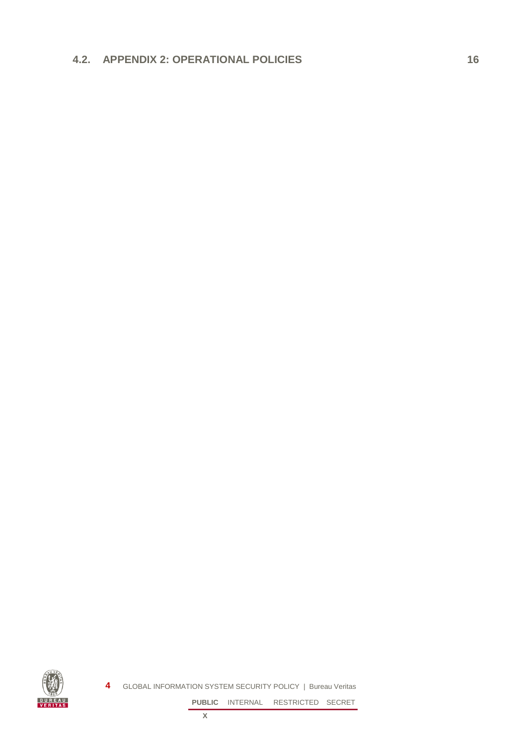#### **4.2. [APPENDIX 2: OPERATIONAL POLICIES](#page-15-2) 16**

**4** GLOBAL INFORMATION SYSTEM SECURITY POLICY | Bureau Veritas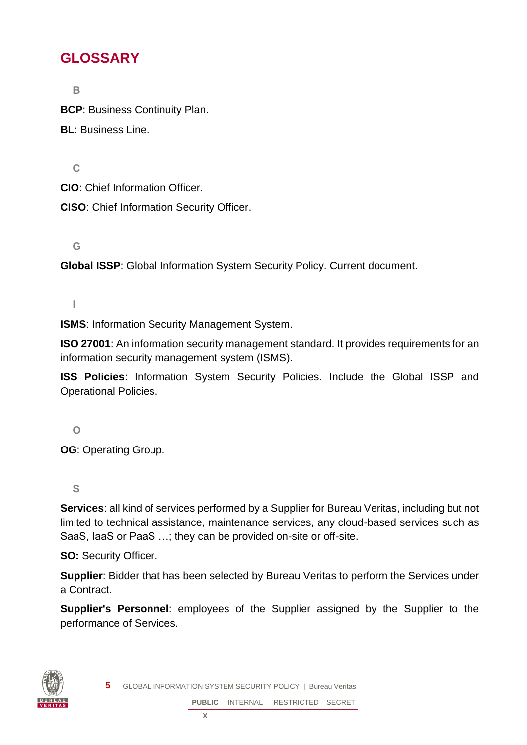## <span id="page-4-0"></span>**GLOSSARY**

**B**

**BCP**: Business Continuity Plan.

**BL**: Business Line.

**C**

**CIO**: Chief Information Officer.

**CISO**: Chief Information Security Officer.

**G**

**Global ISSP**: Global Information System Security Policy. Current document.

**I**

**ISMS**: Information Security Management System.

**ISO 27001**: An information security management standard. It provides requirements for an information security management system (ISMS).

**ISS Policies**: Information System Security Policies. Include the Global ISSP and Operational Policies.

**O**

**OG**: Operating Group.

**S**

**Services**: all kind of services performed by a Supplier for Bureau Veritas, including but not limited to technical assistance, maintenance services, any cloud-based services such as SaaS, IaaS or PaaS …; they can be provided on-site or off-site.

**SO: Security Officer.** 

**Supplier**: Bidder that has been selected by Bureau Veritas to perform the Services under a Contract.

**Supplier's Personnel**: employees of the Supplier assigned by the Supplier to the performance of Services.



**5** GLOBAL INFORMATION SYSTEM SECURITY POLICY | Bureau Veritas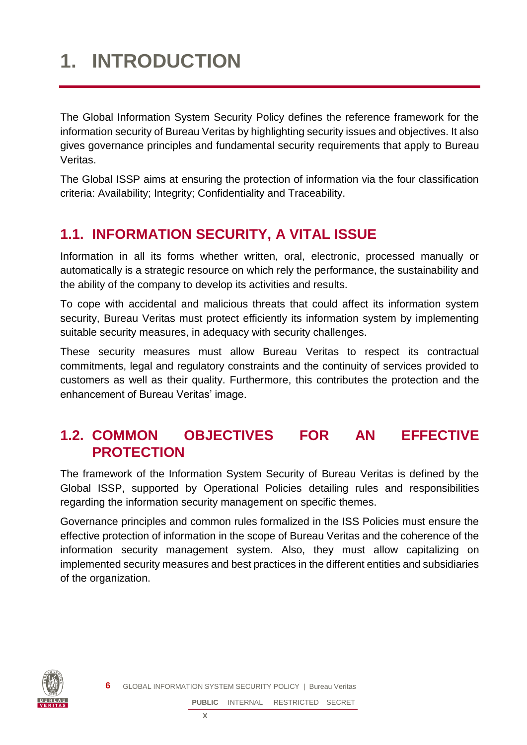# <span id="page-5-0"></span>**1. INTRODUCTION**

The Global Information System Security Policy defines the reference framework for the information security of Bureau Veritas by highlighting security issues and objectives. It also gives governance principles and fundamental security requirements that apply to Bureau Veritas.

The Global ISSP aims at ensuring the protection of information via the four classification criteria: Availability; Integrity; Confidentiality and Traceability.

## <span id="page-5-1"></span>**1.1. INFORMATION SECURITY, A VITAL ISSUE**

Information in all its forms whether written, oral, electronic, processed manually or automatically is a strategic resource on which rely the performance, the sustainability and the ability of the company to develop its activities and results.

To cope with accidental and malicious threats that could affect its information system security, Bureau Veritas must protect efficiently its information system by implementing suitable security measures, in adequacy with security challenges.

These security measures must allow Bureau Veritas to respect its contractual commitments, legal and regulatory constraints and the continuity of services provided to customers as well as their quality. Furthermore, this contributes the protection and the enhancement of Bureau Veritas' image.

### <span id="page-5-2"></span>**1.2. COMMON OBJECTIVES FOR AN EFFECTIVE PROTECTION**

The framework of the Information System Security of Bureau Veritas is defined by the Global ISSP, supported by Operational Policies detailing rules and responsibilities regarding the information security management on specific themes.

Governance principles and common rules formalized in the ISS Policies must ensure the effective protection of information in the scope of Bureau Veritas and the coherence of the information security management system. Also, they must allow capitalizing on implemented security measures and best practices in the different entities and subsidiaries of the organization.

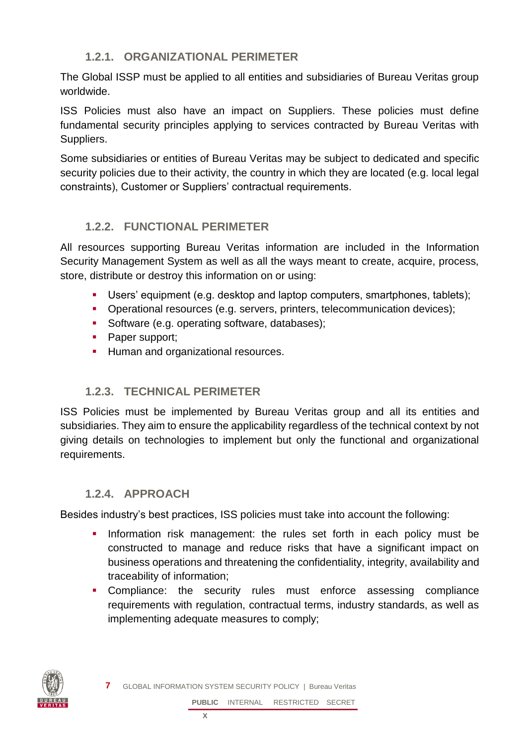#### **1.2.1. ORGANIZATIONAL PERIMETER**

<span id="page-6-0"></span>The Global ISSP must be applied to all entities and subsidiaries of Bureau Veritas group worldwide.

ISS Policies must also have an impact on Suppliers. These policies must define fundamental security principles applying to services contracted by Bureau Veritas with Suppliers.

Some subsidiaries or entities of Bureau Veritas may be subject to dedicated and specific security policies due to their activity, the country in which they are located (e.g. local legal constraints), Customer or Suppliers' contractual requirements.

#### <span id="page-6-1"></span>**1.2.2. FUNCTIONAL PERIMETER**

All resources supporting Bureau Veritas information are included in the Information Security Management System as well as all the ways meant to create, acquire, process, store, distribute or destroy this information on or using:

- **■** Users' equipment (e.g. desktop and laptop computers, smartphones, tablets);
- **•** Operational resources (e.g. servers, printers, telecommunication devices);
- **•** Software (e.g. operating software, databases);
- Paper support;
- **EXECUTE:** Human and organizational resources.

#### <span id="page-6-2"></span>**1.2.3. TECHNICAL PERIMETER**

ISS Policies must be implemented by Bureau Veritas group and all its entities and subsidiaries. They aim to ensure the applicability regardless of the technical context by not giving details on technologies to implement but only the functional and organizational requirements.

#### <span id="page-6-3"></span>**1.2.4. APPROACH**

Besides industry's best practices, ISS policies must take into account the following:

- **·** Information risk management: the rules set forth in each policy must be constructed to manage and reduce risks that have a significant impact on business operations and threatening the confidentiality, integrity, availability and traceability of information;
- **•** Compliance: the security rules must enforce assessing compliance requirements with regulation, contractual terms, industry standards, as well as implementing adequate measures to comply;

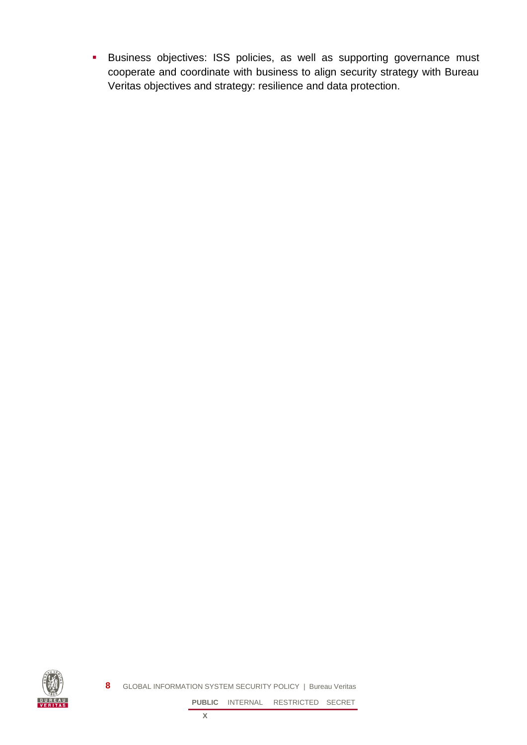**·** Business objectives: ISS policies, as well as supporting governance must cooperate and coordinate with business to align security strategy with Bureau Veritas objectives and strategy: resilience and data protection.



**8** GLOBAL INFORMATION SYSTEM SECURITY POLICY | Bureau Veritas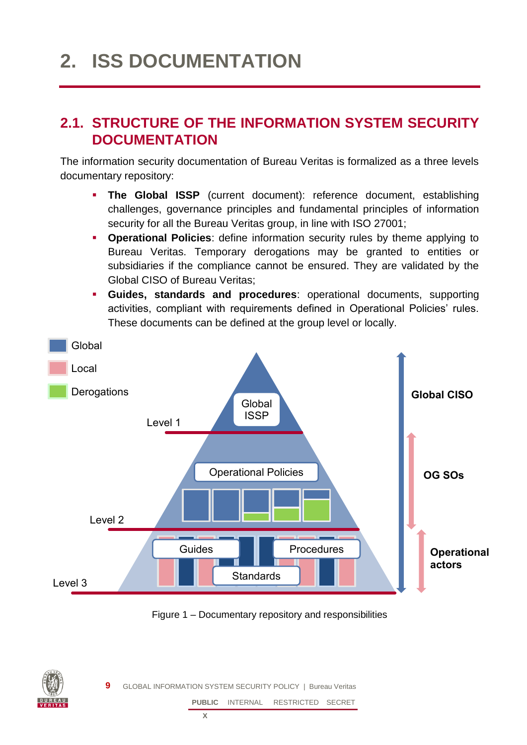## <span id="page-8-0"></span>**2. ISS DOCUMENTATION**

### <span id="page-8-1"></span>**2.1. STRUCTURE OF THE INFORMATION SYSTEM SECURITY DOCUMENTATION**

The information security documentation of Bureau Veritas is formalized as a three levels documentary repository:

- **The Global ISSP** (current document): reference document, establishing challenges, governance principles and fundamental principles of information security for all the Bureau Veritas group, in line with ISO 27001;
- **Operational Policies**: define information security rules by theme applying to Bureau Veritas. Temporary derogations may be granted to entities or subsidiaries if the compliance cannot be ensured. They are validated by the Global CISO of Bureau Veritas;
- **Guides, standards and procedures**: operational documents, supporting activities, compliant with requirements defined in Operational Policies' rules. These documents can be defined at the group level or locally.



Figure 1 – Documentary repository and responsibilities



**9** GLOBAL INFORMATION SYSTEM SECURITY POLICY | Bureau Veritas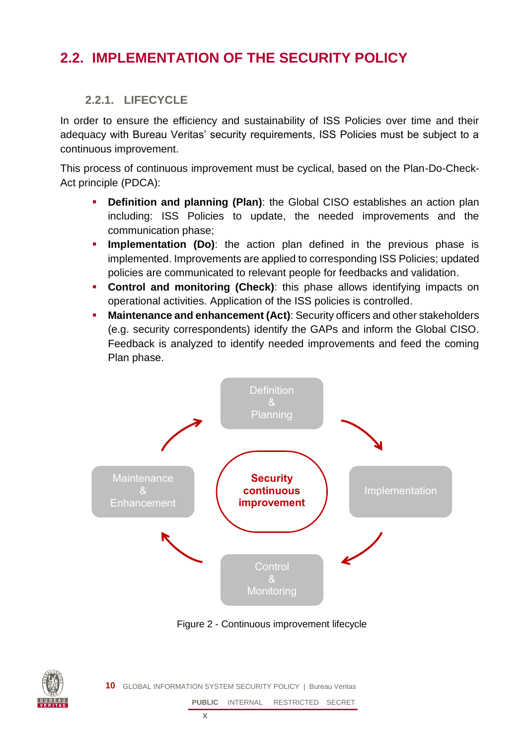## <span id="page-9-1"></span><span id="page-9-0"></span>**2.2. IMPLEMENTATION OF THE SECURITY POLICY**

#### **2.2.1. LIFECYCLE**

In order to ensure the efficiency and sustainability of ISS Policies over time and their adequacy with Bureau Veritas' security requirements, ISS Policies must be subject to a continuous improvement.

This process of continuous improvement must be cyclical, based on the Plan-Do-Check-Act principle (PDCA):

- **Definition and planning (Plan)**: the Global CISO establishes an action plan including: ISS Policies to update, the needed improvements and the communication phase;
- **· Implementation (Do)**: the action plan defined in the previous phase is implemented. Improvements are applied to corresponding ISS Policies; updated policies are communicated to relevant people for feedbacks and validation.
- **Control and monitoring (Check)**: this phase allows identifying impacts on operational activities. Application of the ISS policies is controlled.
- **Maintenance and enhancement (Act)**: Security officers and other stakeholders (e.g. security correspondents) identify the GAPs and inform the Global CISO. Feedback is analyzed to identify needed improvements and feed the coming Plan phase.



Figure 2 - Continuous improvement lifecycle



**10** GLOBAL INFORMATION SYSTEM SECURITY POLICY | Bureau Veritas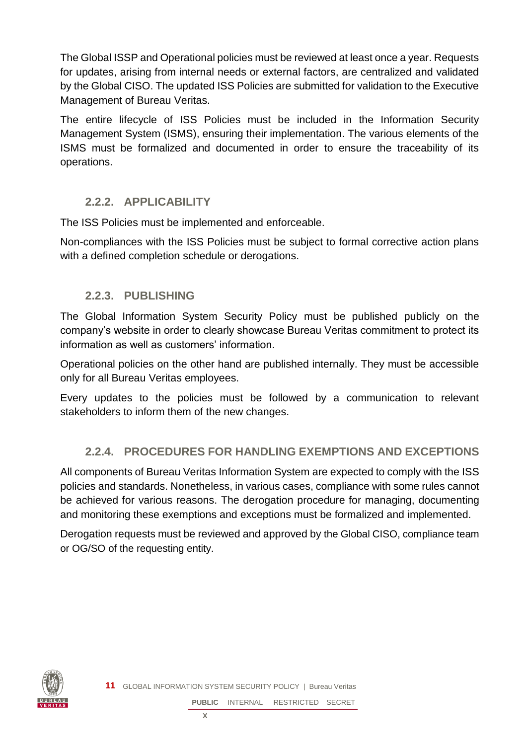The Global ISSP and Operational policies must be reviewed at least once a year. Requests for updates, arising from internal needs or external factors, are centralized and validated by the Global CISO. The updated ISS Policies are submitted for validation to the Executive Management of Bureau Veritas.

The entire lifecycle of ISS Policies must be included in the Information Security Management System (ISMS), ensuring their implementation. The various elements of the ISMS must be formalized and documented in order to ensure the traceability of its operations.

#### <span id="page-10-0"></span>**2.2.2. APPLICABILITY**

The ISS Policies must be implemented and enforceable.

<span id="page-10-1"></span>Non-compliances with the ISS Policies must be subject to formal corrective action plans with a defined completion schedule or derogations.

#### **2.2.3. PUBLISHING**

The Global Information System Security Policy must be published publicly on the company's website in order to clearly showcase Bureau Veritas commitment to protect its information as well as customers' information.

Operational policies on the other hand are published internally. They must be accessible only for all Bureau Veritas employees.

Every updates to the policies must be followed by a communication to relevant stakeholders to inform them of the new changes.

#### **2.2.4. PROCEDURES FOR HANDLING EXEMPTIONS AND EXCEPTIONS**

All components of Bureau Veritas Information System are expected to comply with the ISS policies and standards. Nonetheless, in various cases, compliance with some rules cannot be achieved for various reasons. The derogation procedure for managing, documenting and monitoring these exemptions and exceptions must be formalized and implemented.

Derogation requests must be reviewed and approved by the Global CISO, compliance team or OG/SO of the requesting entity.

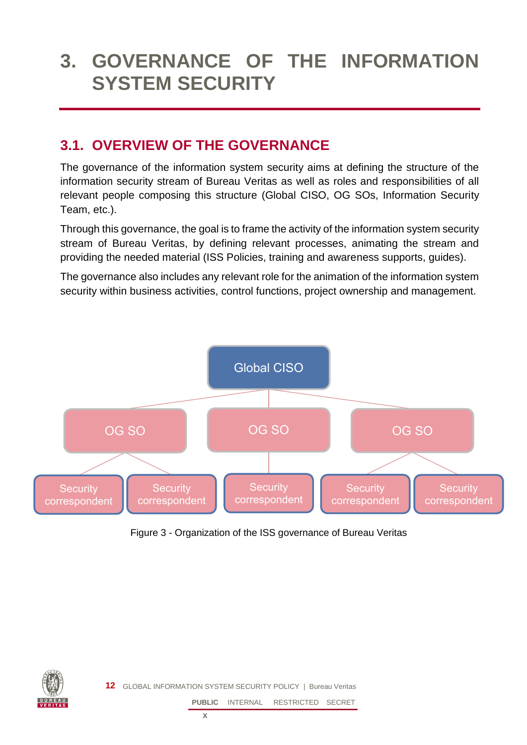## <span id="page-11-0"></span>**3. GOVERNANCE OF THE INFORMATION SYSTEM SECURITY**

## <span id="page-11-1"></span>**3.1. OVERVIEW OF THE GOVERNANCE**

The governance of the information system security aims at defining the structure of the information security stream of Bureau Veritas as well as roles and responsibilities of all relevant people composing this structure (Global CISO, OG SOs, Information Security Team, etc.).

Through this governance, the goal is to frame the activity of the information system security stream of Bureau Veritas, by defining relevant processes, animating the stream and providing the needed material (ISS Policies, training and awareness supports, guides).

The governance also includes any relevant role for the animation of the information system security within business activities, control functions, project ownership and management.



Figure 3 - Organization of the ISS governance of Bureau Veritas



**12** GLOBAL INFORMATION SYSTEM SECURITY POLICY | Bureau Veritas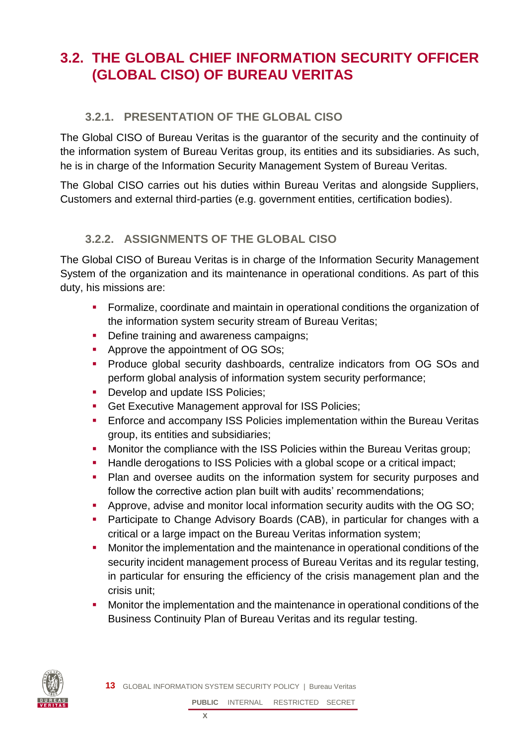## <span id="page-12-0"></span>**3.2. THE GLOBAL CHIEF INFORMATION SECURITY OFFICER (GLOBAL CISO) OF BUREAU VERITAS**

#### <span id="page-12-1"></span>**3.2.1. PRESENTATION OF THE GLOBAL CISO**

The Global CISO of Bureau Veritas is the guarantor of the security and the continuity of the information system of Bureau Veritas group, its entities and its subsidiaries. As such, he is in charge of the Information Security Management System of Bureau Veritas.

<span id="page-12-2"></span>The Global CISO carries out his duties within Bureau Veritas and alongside Suppliers, Customers and external third-parties (e.g. government entities, certification bodies).

#### **3.2.2. ASSIGNMENTS OF THE GLOBAL CISO**

The Global CISO of Bureau Veritas is in charge of the Information Security Management System of the organization and its maintenance in operational conditions. As part of this duty, his missions are:

- Formalize, coordinate and maintain in operational conditions the organization of the information system security stream of Bureau Veritas;
- **•** Define training and awareness campaigns;
- Approve the appointment of OG SOs;
- **•** Produce global security dashboards, centralize indicators from OG SOs and perform global analysis of information system security performance;
- **•** Develop and update ISS Policies;
- **Get Executive Management approval for ISS Policies;**
- **Enforce and accompany ISS Policies implementation within the Bureau Veritas** group, its entities and subsidiaries;
- **Monitor the compliance with the ISS Policies within the Bureau Veritas group;**
- Handle derogations to ISS Policies with a global scope or a critical impact;
- **Plan and oversee audits on the information system for security purposes and** follow the corrective action plan built with audits' recommendations;
- **•** Approve, advise and monitor local information security audits with the OG SO;
- **Participate to Change Advisory Boards (CAB), in particular for changes with a** critical or a large impact on the Bureau Veritas information system;
- **■** Monitor the implementation and the maintenance in operational conditions of the security incident management process of Bureau Veritas and its regular testing, in particular for ensuring the efficiency of the crisis management plan and the crisis unit;
- Monitor the implementation and the maintenance in operational conditions of the Business Continuity Plan of Bureau Veritas and its regular testing.

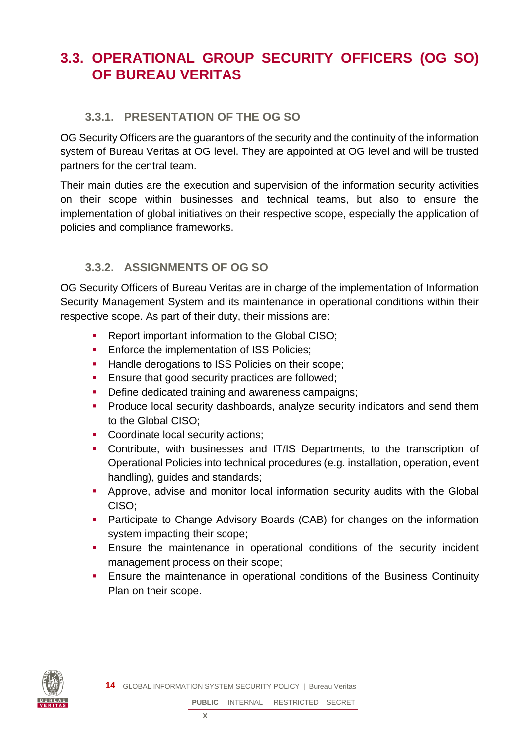## <span id="page-13-0"></span>**3.3. OPERATIONAL GROUP SECURITY OFFICERS (OG SO) OF BUREAU VERITAS**

#### <span id="page-13-1"></span>**3.3.1. PRESENTATION OF THE OG SO**

OG Security Officers are the guarantors of the security and the continuity of the information system of Bureau Veritas at OG level. They are appointed at OG level and will be trusted partners for the central team.

Their main duties are the execution and supervision of the information security activities on their scope within businesses and technical teams, but also to ensure the implementation of global initiatives on their respective scope, especially the application of policies and compliance frameworks.

#### <span id="page-13-2"></span>**3.3.2. ASSIGNMENTS OF OG SO**

OG Security Officers of Bureau Veritas are in charge of the implementation of Information Security Management System and its maintenance in operational conditions within their respective scope. As part of their duty, their missions are:

- Report important information to the Global CISO:
- **Enforce the implementation of ISS Policies;**
- **EXECUTE:** Handle derogations to ISS Policies on their scope;
- **Ensure that good security practices are followed;**
- **Define dedicated training and awareness campaigns;**
- **•** Produce local security dashboards, analyze security indicators and send them to the Global CISO;
- Coordinate local security actions;
- Contribute, with businesses and IT/IS Departments, to the transcription of Operational Policies into technical procedures (e.g. installation, operation, event handling), guides and standards;
- **EXT** Approve, advise and monitor local information security audits with the Global CISO;
- **Participate to Change Advisory Boards (CAB) for changes on the information** system impacting their scope;
- **Ensure the maintenance in operational conditions of the security incident** management process on their scope;
- **Ensure the maintenance in operational conditions of the Business Continuity** Plan on their scope.

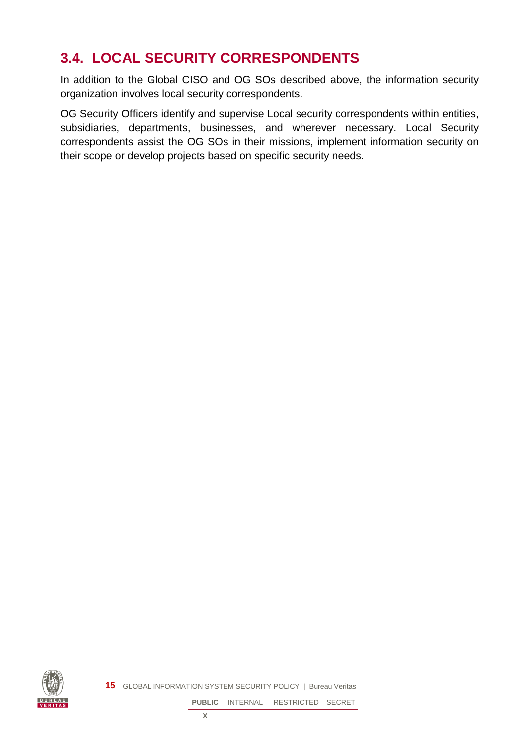## <span id="page-14-0"></span>**3.4. LOCAL SECURITY CORRESPONDENTS**

In addition to the Global CISO and OG SOs described above, the information security organization involves local security correspondents.

OG Security Officers identify and supervise Local security correspondents within entities, subsidiaries, departments, businesses, and wherever necessary. Local Security correspondents assist the OG SOs in their missions, implement information security on their scope or develop projects based on specific security needs.